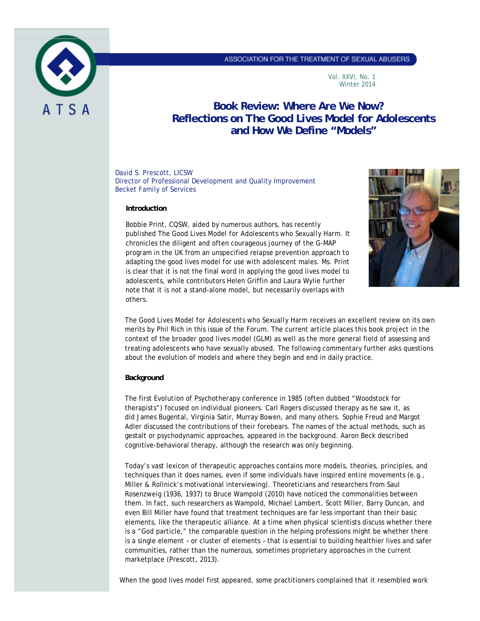

## ASSOCIATION FOR THE TREATMENT OF SEXUAL ABUSERS

Vol. XXVI, No. 1 Winter 2014

# **Book Review: Where Are We Now? Reflections on** *The Good Lives Model for Adolescents* **and How We Define "Models"**

David S. Prescott, LICSW Director of Professional Development and Quality Improvement Becket Family of Services

#### **Introduction**

Bobbie Print, CQSW, aided by numerous authors, has recently published *The Good Lives Model for Adolescents who Sexually Harm.* It chronicles the diligent and often courageous journey of the G-MAP program in the UK from an unspecified relapse prevention approach to adapting the good lives model for use with adolescent males. Ms. Print is clear that it is not the final word in applying the good lives model to adolescents, while contributors Helen Griffin and Laura Wylie further note that it is not a stand-alone model, but necessarily overlaps with others.



*The Good Lives Model for Adolescents who Sexually Harm* receives an excellent review on its own merits by Phil Rich in this issue of the *Forum*. The current article places this book project in the context of the broader good lives model (GLM) as well as the more general field of assessing and treating adolescents who have sexually abused. The following commentary further asks questions about the evolution of models and where they begin and end in daily practice.

## **Background**

The first *Evolution of Psychotherapy* conference in 1985 (often dubbed "Woodstock for therapists") focused on individual pioneers. Carl Rogers discussed therapy as he saw it, as did James Bugental, Virginia Satir, Murray Bowen, and many others. Sophie Freud and Margot Adler discussed the contributions of their forebears. The names of the actual methods, such as gestalt or psychodynamic approaches, appeared in the background. Aaron Beck described cognitive-behavioral therapy, although the research was only beginning.

Today's vast lexicon of therapeutic approaches contains more models, theories, principles, and techniques than it does names, even if some individuals have inspired entire movements (e.g., Miller & Rollnick's motivational interviewing). Theoreticians and researchers from Saul Rosenzweig (1936, 1937) to Bruce Wampold (2010) have noticed the commonalities between them. In fact, such researchers as Wampold, Michael Lambert, Scott Miller, Barry Duncan, and even Bill Miller have found that treatment techniques are far less important than their basic elements, like the therapeutic alliance. At a time when physical scientists discuss whether there is a "God particle," the comparable question in the helping professions might be whether there is a single element – or cluster of elements – that is essential to building healthier lives and safer communities, rather than the numerous, sometimes proprietary approaches in the current marketplace (Prescott, 2013).

When the good lives model first appeared, some practitioners complained that it resembled work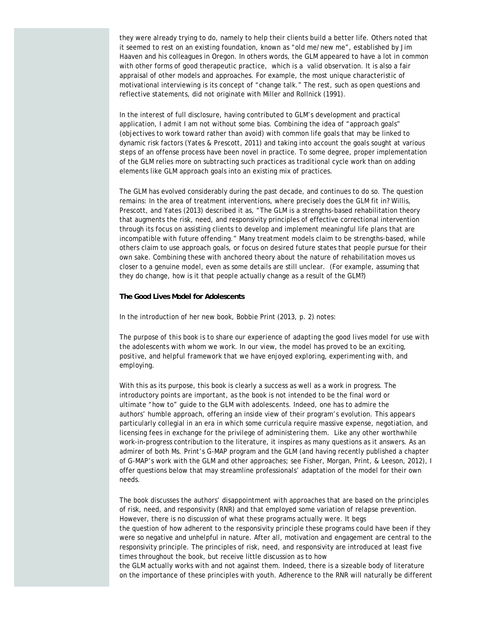they were already trying to do, namely to help their clients build a better life. Others noted that it seemed to rest on an existing foundation, known as "old me/new me", established by Jim Haaven and his colleagues in Oregon. In others words, the GLM appeared to have a lot in common with other forms of good therapeutic practice, which is a valid observation. It is also a fair appraisal of other models and approaches. For example, the most unique characteristic of motivational interviewing is its concept of "change talk." The rest, such as open questions and reflective statements, did not originate with Miller and Rollnick (1991).

In the interest of full disclosure, having contributed to GLM's development and practical application, I admit I am not without some bias. Combining the idea of "approach goals" (objectives to work toward rather than avoid) with common life goals that may be linked to dynamic risk factors (Yates & Prescott, 2011) and taking into account the goals sought at various steps of an offense process have been novel in practice. To some degree, proper implementation of the GLM relies more on subtracting such practices as traditional cycle work than on adding elements like GLM approach goals into an existing mix of practices.

The GLM has evolved considerably during the past decade, and continues to do so. The question remains: In the area of treatment interventions, where precisely does the GLM fit in? Willis, Prescott, and Yates (2013) described it as, "The GLM is a strengths-based rehabilitation theory that augments the risk, need, and responsivity principles of effective correctional intervention through its focus on assisting clients to develop and implement meaningful life plans that are incompatible with future offending." Many treatment models claim to be strengths-based, while others claim to use approach goals, or focus on desired future states that people pursue for their own sake. Combining these with anchored theory about the nature of rehabilitation moves us closer to a genuine model, even as some details are still unclear. (For example, assuming that they do change, how is it that people actually change as a result of the GLM?)

### **The Good Lives Model for Adolescents**

In the introduction of her new book, Bobbie Print (2013, p. 2) notes:

*The purpose of this book is to share our experience of adapting the good lives model for use with the adolescents with whom we work. In our view, the model has proved to be an exciting, positive, and helpful framework that we have enjoyed exploring, experimenting with, and employing.*

With this as its purpose, this book is clearly a success as well as a work in progress. The introductory points are important, as the book is not intended to be the final word or ultimate "how to" guide to the GLM with adolescents. Indeed, one has to admire the authors' humble approach, offering an inside view of their program's evolution. This appears particularly collegial in an era in which some curricula require massive expense, negotiation, and licensing fees in exchange for the privilege of administering them. Like any other worthwhile work-in-progress contribution to the literature, it inspires as many questions as it answers. As an admirer of both Ms. Print's G-MAP program and the GLM (and having recently published a chapter of G-MAP's work with the GLM and other approaches; see Fisher, Morgan, Print, & Leeson, 2012), I offer questions below that may streamline professionals' adaptation of the model for their own needs.

The book discusses the authors' disappointment with approaches that are based on the principles of risk, need, and responsivity (RNR) and that employed some variation of relapse prevention. However, there is no discussion of what these programs actually were. It begs the question of how adherent to the responsivity principle these programs could have been if they were so negative and unhelpful in nature. After all, motivation and engagement are central to the responsivity principle. The principles of risk, need, and responsivity are introduced at least five times throughout the book, but receive little discussion as to how the GLM actually works with and not against them. Indeed, there is a sizeable body of literature on the importance of these principles with youth. Adherence to the RNR will naturally be different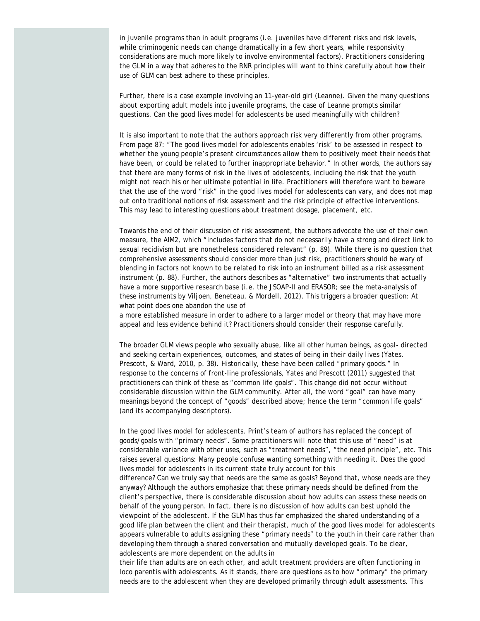in juvenile programs than in adult programs (i.e. juveniles have different risks and risk levels, while criminogenic needs can change dramatically in a few short years, while responsivity considerations are much more likely to involve environmental factors). Practitioners considering the GLM in a way that adheres to the RNR principles will want to think carefully about how their use of GLM can best adhere to these principles.

Further, there is a case example involving an 11-year-old girl (Leanne). Given the many questions about exporting adult models into juvenile programs, the case of Leanne prompts similar questions. Can the good lives model for adolescents be used meaningfully with children?

It is also important to note that the authors approach risk very differently from other programs. From page 87: "The good lives model for adolescents enables 'risk' to be assessed in respect to whether the young people's present circumstances allow them to positively meet their needs that have been, or could be related to further inappropriate behavior." In other words, the authors say that there are many forms of risk in the lives of adolescents, including the risk that the youth might not reach his or her ultimate potential in life. Practitioners will therefore want to beware that the use of the word "risk" in the good lives model for adolescents can vary, and does not map out onto traditional notions of risk assessment and the risk principle of effective interventions. This may lead to interesting questions about treatment dosage, placement, etc.

Towards the end of their discussion of risk assessment, the authors advocate the use of their own measure, the AIM2, which "includes factors that do not necessarily have a strong and direct link to sexual recidivism but are nonetheless considered relevant" (p. 89). While there is no question that comprehensive assessments should consider more than just risk, practitioners should be wary of blending in factors not known to be related to risk into an instrument billed as a risk assessment instrument (p. 88). Further, the authors describes as "alternative" two instruments that actually have a more supportive research base (i.e. the JSOAP-II and ERASOR; see the meta-analysis of these instruments by Viljoen, Beneteau, & Mordell, 2012). This triggers a broader question: At what point does one abandon the use of

a more established measure in order to adhere to a larger model or theory that may have more appeal and less evidence behind it? Practitioners should consider their response carefully.

The broader GLM views people who sexually abuse, like all other human beings, as goal- directed and seeking certain experiences, outcomes, and states of being in their daily lives (Yates, Prescott, & Ward, 2010, p. 38). Historically, these have been called "primary goods." In response to the concerns of front-line professionals, Yates and Prescott (2011) suggested that practitioners can think of these as "common life goals". This change did not occur without considerable discussion within the GLM community. After all, the word "goal" can have many meanings beyond the concept of "goods" described above; hence the term "common life goals" (and its accompanying descriptors).

In the good lives model for adolescents, Print's team of authors has replaced the concept of goods/goals with "primary needs". Some practitioners will note that this use of "need" is at considerable variance with other uses, such as "treatment needs", "the need principle", etc. This raises several questions: Many people confuse wanting something with needing it. Does the good lives model for adolescents in its current state truly account for this

difference? Can we truly say that needs are the same as goals? Beyond that, whose needs are they anyway? Although the authors emphasize that these primary needs should be defined from the client's perspective, there is considerable discussion about how adults can assess these needs on behalf of the young person. In fact, there is no discussion of how adults can best uphold the viewpoint of the adolescent. If the GLM has thus far emphasized the shared understanding of a good life plan between the client and their therapist, much of the good lives model for adolescents appears vulnerable to adults assigning these "primary needs" to the youth in their care rather than developing them through a shared conversation and mutually developed goals. To be clear, adolescents are more dependent on the adults in

their life than adults are on each other, and adult treatment providers are often functioning *in loco parentis* with adolescents. As it stands, there are questions as to how "primary" the primary needs are to the adolescent when they are developed primarily through adult assessments. This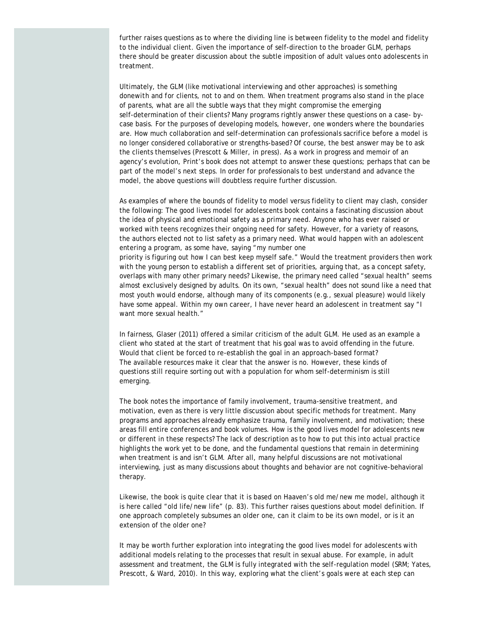further raises questions as to where the dividing line is between fidelity to the model and fidelity to the individual client. Given the importance of self-direction to the broader GLM, perhaps there should be greater discussion about the subtle imposition of adult values onto adolescents in treatment.

Ultimately, the GLM (like motivational interviewing and other approaches) is something done*with* and *for* clients, not *to* and *on* them. When treatment programs also stand in the place of parents, what are all the subtle ways that they might compromise the emerging self-determination of their clients? Many programs rightly answer these questions on a case- bycase basis. For the purposes of developing models, however, one wonders where the boundaries are. How much collaboration and self-determination can professionals sacrifice before a model is no longer considered collaborative or strengths-based? Of course, the best answer may be to ask the clients themselves (Prescott & Miller, in press). As a work in progress and memoir of an agency's evolution, Print's book does not attempt to answer these questions; perhaps that can be part of the model's next steps. In order for professionals to best understand and advance the model, the above questions will doubtless require further discussion.

As examples of where the bounds of fidelity to model versus fidelity to client may clash, consider the following: The good lives model for adolescents book contains a fascinating discussion about the idea of physical and emotional safety as a primary need. Anyone who has ever raised or worked with teens recognizes their ongoing need for safety. However, for a variety of reasons, the authors elected not to list safety as a primary need. What would happen with an adolescent entering a program, as some have, saying "my number one priority is figuring out how I can best keep myself safe." Would the treatment providers then work with the young person to establish a different set of priorities, arguing that, as a concept safety, overlaps with many other primary needs? Likewise, the primary need called "sexual health" seems almost exclusively designed by adults. On its own, "sexual health" does not sound like a need that most youth would endorse, although many of its components (e.g., sexual pleasure) would likely have some appeal. Within my own career, I have never heard an adolescent in treatment say "I want more sexual health."

In fairness, Glaser (2011) offered a similar criticism of the adult GLM. He used as an example a client who stated at the start of treatment that his goal was to avoid offending in the future. Would that client be forced to re-establish the goal in an approach-based format? The available resources make it clear that the answer is no. However, these kinds of questions still require sorting out with a population for whom self-determinism is still emerging.

The book notes the importance of family involvement, trauma-sensitive treatment, and motivation, even as there is very little discussion about specific methods for treatment. Many programs and approaches already emphasize trauma, family involvement, and motivation; these areas fill entire conferences and book volumes. How is the good lives model for adolescents new or different in these respects? The lack of description as to how to put this into actual practice highlights the work yet to be done, and the fundamental questions that remain in determining when treatment is and isn't GLM. After all, many helpful discussions are not motivational interviewing, just as many discussions about thoughts and behavior are not cognitive-behavioral therapy.

Likewise, the book is quite clear that it is based on Haaven's old me/new me model, although it is here called "old life/new life" (p. 83). This further raises questions about model definition. If one approach completely subsumes an older one, can it claim to be its own model, or is it an extension of the older one?

It may be worth further exploration into integrating the good lives model for adolescents with additional models relating to the processes that result in sexual abuse. For example, in adult assessment and treatment, the GLM is fully integrated with the self-regulation model (SRM; Yates, Prescott, & Ward, 2010). In this way, exploring what the client's goals were at each step can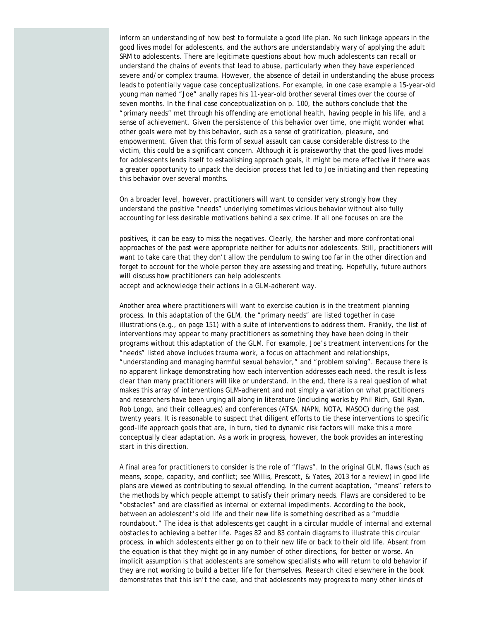inform an understanding of how best to formulate a good life plan. No such linkage appears in the good lives model for adolescents, and the authors are understandably wary of applying the adult SRM to adolescents. There are legitimate questions about how much adolescents can recall or understand the chains of events that lead to abuse, particularly when they have experienced severe and/or complex trauma. However, the absence of detail in understanding the abuse process leads to potentially vague case conceptualizations. For example, in one case example a 15-year-old young man named "Joe" anally rapes his 11-year-old brother several times over the course of seven months. In the final case conceptualization on p. 100, the authors conclude that the "primary needs" met through his offending are emotional health, having people in his life, and a sense of achievement. Given the persistence of this behavior over time, one might wonder what other goals were met by this behavior, such as a sense of gratification, pleasure, and empowerment. Given that this form of sexual assault can cause considerable distress to the victim, this could be a significant concern. Although it is praiseworthy that the good lives model for adolescents lends itself to establishing approach goals, it might be more effective if there was a greater opportunity to unpack the decision process that led to Joe initiating and then repeating this behavior over several months.

On a broader level, however, practitioners will want to consider very strongly how they understand the positive "needs" underlying sometimes vicious behavior without also fully accounting for less desirable motivations behind a sex crime. If all one focuses on are the

positives, it can be easy to miss the negatives. Clearly, the harsher and more confrontational approaches of the past were appropriate neither for adults nor adolescents. Still, practitioners will want to take care that they don't allow the pendulum to swing too far in the other direction and forget to account for the whole person they are assessing and treating. Hopefully, future authors will discuss how practitioners can help adolescents

accept and acknowledge their actions in a GLM-adherent way.

Another area where practitioners will want to exercise caution is in the treatment planning process. In this adaptation of the GLM, the "primary needs" are listed together in case illustrations (e.g., on page 151) with a suite of interventions to address them. Frankly, the list of interventions may appear to many practitioners as something they have been doing in their programs without this adaptation of the GLM. For example, Joe's treatment interventions for the "needs" listed above includes trauma work, a focus on attachment and relationships, "understanding and managing harmful sexual behavior," and "problem solving". Because there is no apparent linkage demonstrating how each intervention addresses each need, the result is less clear than many practitioners will like or understand. In the end, there is a real question of what makes this array of interventions GLM-adherent and not simply a variation on what practitioners and researchers have been urging all along in literature (including works by Phil Rich, Gail Ryan, Rob Longo, and their colleagues) and conferences (ATSA, NAPN, NOTA, MASOC) during the past twenty years. It is reasonable to suspect that diligent efforts to tie these interventions to specific good-life approach goals that are, in turn, tied to dynamic risk factors will make this a more conceptually clear adaptation. As a work in progress, however, the book provides an interesting start in this direction.

A final area for practitioners to consider is the role of "flaws". In the original GLM, flaws (such as means, scope, capacity, and conflict; see Willis, Prescott, & Yates, 2013 for a review) in good life plans are viewed as contributing to sexual offending. In the current adaptation, "means" refers to the methods by which people attempt to satisfy their primary needs. Flaws are considered to be "obstacles" and are classified as internal or external impediments. According to the book, between an adolescent's old life and their new life is something described as a "muddle roundabout." The idea is that adolescents get caught in a circular muddle of internal and external obstacles to achieving a better life. Pages 82 and 83 contain diagrams to illustrate this circular process, in which adolescents either go on to their new life or back to their old life. Absent from the equation is that they might go in any number of other directions, for better or worse. An implicit assumption is that adolescents are somehow specialists who will return to old behavior if they are not working to build a better life for themselves. Research cited elsewhere in the book demonstrates that this isn't the case, and that adolescents may progress to many other kinds of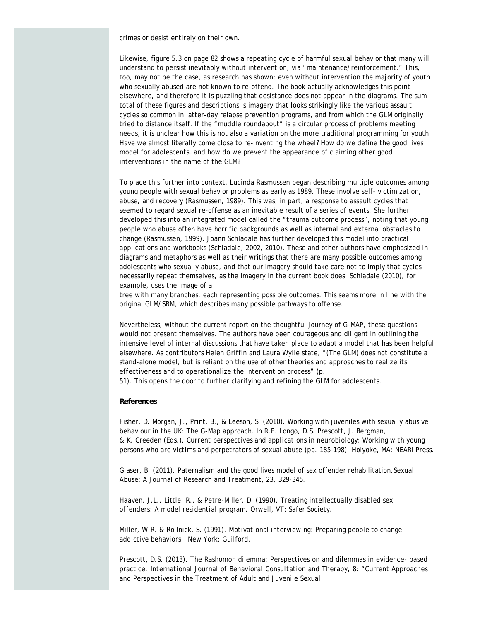crimes or desist entirely on their own.

Likewise, figure 5.3 on page 82 shows a repeating cycle of harmful sexual behavior that many will understand to persist inevitably without intervention, via "maintenance/reinforcement." This, too, may not be the case, as research has shown; even without intervention the majority of youth who sexually abused are not known to re-offend. The book actually acknowledges this point elsewhere, and therefore it is puzzling that desistance does not appear in the diagrams. The sum total of these figures and descriptions is imagery that looks strikingly like the various assault cycles so common in latter-day relapse prevention programs, and from which the GLM originally tried to distance itself. If the "muddle roundabout" is a circular process of problems meeting needs, it is unclear how this is not also a variation on the more traditional programming for youth. Have we almost literally come close to re-inventing the wheel? How do we define the good lives model for adolescents, and how do we prevent the appearance of claiming other good interventions in the name of the GLM?

To place this further into context, Lucinda Rasmussen began describing multiple outcomes among young people with sexual behavior problems as early as 1989. These involve self- victimization, abuse, and recovery (Rasmussen, 1989). This was, in part, a response to assault cycles that seemed to regard sexual re-offense as an inevitable result of a series of events. She further developed this into an integrated model called the "trauma outcome process", noting that young people who abuse often have horrific backgrounds as well as internal and external obstacles to change (Rasmussen, 1999). Joann Schladale has further developed this model into practical applications and workbooks (Schladale, 2002, 2010). These and other authors have emphasized in diagrams and metaphors as well as their writings that there are many possible outcomes among adolescents who sexually abuse, and that our imagery should take care not to imply that cycles necessarily repeat themselves, as the imagery in the current book does. Schladale (2010), for example, uses the image of a

tree with many branches, each representing possible outcomes. This seems more in line with the original GLM/SRM, which describes many possible pathways to offense.

Nevertheless, without the current report on the thoughtful journey of G-MAP, these questions would not present themselves. The authors have been courageous and diligent in outlining the intensive level of internal discussions that have taken place to adapt a model that has been helpful elsewhere. As contributors Helen Griffin and Laura Wylie state, "(The GLM) does not constitute a stand-alone model, but is reliant on the use of other theories and approaches to realize its effectiveness and to operationalize the intervention process" (p.

51). This opens the door to further clarifying and refining the GLM for adolescents.

#### **References**

Fisher, D. Morgan, J., Print, B., & Leeson, S. (2010). Working with juveniles with sexually abusive behaviour in the UK: The G-Map approach. In R.E. Longo, D.S. Prescott, J. Bergman, & K. Creeden (Eds.), *Current perspectives and applications in neurobiology: Working with young persons who are victims and perpetrators of sexual abuse* (pp. 185-198). Holyoke, MA: NEARI Press.

Glaser, B. (2011). Paternalism and the good lives model of sex offender rehabilitation.*Sexual Abuse: A Journal of Research and Treatment, 23,* 329-345.

Haaven, J.L., Little, R., & Petre-Miller, D. (1990). *Treating intellectually disabled sex offenders: A model residential program.* Orwell, VT: Safer Society.

Miller, W.R. & Rollnick, S. (1991). *Motivational interviewing: Preparing people to change addictive behaviors.* New York: Guilford.

Prescott, D.S. (2013). The Rashomon dilemma: Perspectives on and dilemmas in evidence- based practice. *International Journal of Behavioral Consultation and Therapy, 8*: "Current Approaches and Perspectives in the Treatment of Adult and Juvenile Sexual